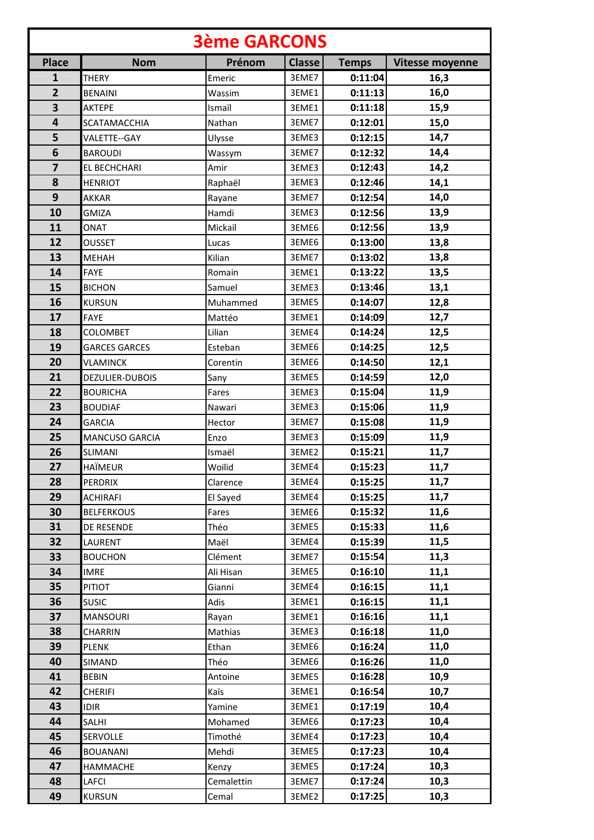| <b>3ème GARCONS</b>     |                        |            |               |              |                        |  |  |  |
|-------------------------|------------------------|------------|---------------|--------------|------------------------|--|--|--|
| <b>Place</b>            | <b>Nom</b>             | Prénom     | <b>Classe</b> | <b>Temps</b> | <b>Vitesse moyenne</b> |  |  |  |
| $\mathbf{1}$            | <b>THERY</b>           | Emeric     | 3EME7         | 0:11:04      | 16,3                   |  |  |  |
| $\overline{2}$          | <b>BENAINI</b>         | Wassim     | 3EME1         | 0:11:13      | 16,0                   |  |  |  |
| 3                       | <b>AKTEPE</b>          | Ismaïl     | 3EME1         | 0:11:18      | 15,9                   |  |  |  |
| 4                       | <b>SCATAMACCHIA</b>    | Nathan     | 3EME7         | 0:12:01      | 15,0                   |  |  |  |
| 5                       | VALETTE--GAY           | Ulysse     | 3EME3         | 0:12:15      | 14,7                   |  |  |  |
| 6                       | <b>BAROUDI</b>         | Wassym     | 3EME7         | 0:12:32      | 14,4                   |  |  |  |
| $\overline{\mathbf{z}}$ | EL BECHCHARI           | Amir       | 3EME3         | 0:12:43      | 14,2                   |  |  |  |
| 8                       | <b>HENRIOT</b>         | Raphaël    | 3EME3         | 0:12:46      | 14,1                   |  |  |  |
| 9                       | <b>AKKAR</b>           | Rayane     | 3EME7         | 0:12:54      | 14,0                   |  |  |  |
| 10                      | <b>GMIZA</b>           | Hamdi      | 3EME3         | 0:12:56      | 13,9                   |  |  |  |
| 11                      | ONAT                   | Mickail    | 3EME6         | 0:12:56      | 13,9                   |  |  |  |
| 12                      | <b>OUSSET</b>          | Lucas      | 3EME6         | 0:13:00      | 13,8                   |  |  |  |
| 13                      | <b>MEHAH</b>           | Kilian     | 3EME7         | 0:13:02      | 13,8                   |  |  |  |
| 14                      | <b>FAYE</b>            | Romain     | 3EME1         | 0:13:22      | 13,5                   |  |  |  |
| 15                      | <b>BICHON</b>          | Samuel     | 3EME3         | 0:13:46      | 13,1                   |  |  |  |
| 16                      | <b>KURSUN</b>          | Muhammed   | 3EME5         | 0:14:07      | 12,8                   |  |  |  |
| 17                      | <b>FAYE</b>            | Mattéo     | 3EME1         | 0:14:09      | 12,7                   |  |  |  |
| 18                      | <b>COLOMBET</b>        | Lilian     | 3EME4         | 0:14:24      | 12,5                   |  |  |  |
| 19                      | <b>GARCES GARCES</b>   | Esteban    | 3EME6         | 0:14:25      | 12,5                   |  |  |  |
| 20                      | <b>VLAMINCK</b>        | Corentin   | 3EME6         | 0:14:50      | 12,1                   |  |  |  |
| 21                      | <b>DEZULIER-DUBOIS</b> | Sany       | 3EME5         | 0:14:59      | 12,0                   |  |  |  |
| 22                      | <b>BOURICHA</b>        | Fares      | 3EME3         | 0:15:04      | 11,9                   |  |  |  |
| 23                      | <b>BOUDIAF</b>         | Nawari     | 3EME3         | 0:15:06      | 11,9                   |  |  |  |
| 24                      | <b>GARCIA</b>          | Hector     | 3EME7         | 0:15:08      | 11,9                   |  |  |  |
| 25                      | <b>MANCUSO GARCIA</b>  | Enzo       | 3EME3         | 0:15:09      | 11,9                   |  |  |  |
| 26                      | SLIMANI                | Ismaël     | 3EME2         | 0:15:21      | 11,7                   |  |  |  |
| 27                      | <b>HAÏMEUR</b>         | Woilid     | 3EME4         | 0:15:23      | 11,7                   |  |  |  |
| 28                      | <b>PERDRIX</b>         | Clarence   | 3EME4         | 0:15:25      | 11,7                   |  |  |  |
| 29                      | <b>ACHIRAFI</b>        | El Sayed   | 3EME4         | 0:15:25      | 11,7                   |  |  |  |
| 30                      | <b>BELFERKOUS</b>      | Fares      | 3EME6         | 0:15:32      | 11,6                   |  |  |  |
| 31                      | DE RESENDE             | Théo       | 3EME5         | 0:15:33      | 11,6                   |  |  |  |
| 32                      | LAURENT                | Maël       | 3EME4         | 0:15:39      | 11,5                   |  |  |  |
| 33                      | <b>BOUCHON</b>         | Clément    | 3EME7         | 0:15:54      | 11,3                   |  |  |  |
| 34                      | <b>IMRE</b>            | Ali Hisan  | 3EME5         | 0:16:10      | 11,1                   |  |  |  |
| 35                      | <b>PITIOT</b>          | Gianni     | 3EME4         | 0:16:15      | 11,1                   |  |  |  |
| 36                      | <b>SUSIC</b>           | Adis       | 3EME1         | 0:16:15      | 11,1                   |  |  |  |
| 37                      | <b>MANSOURI</b>        | Rayan      | 3EME1         | 0:16:16      | 11,1                   |  |  |  |
| 38                      | CHARRIN                | Mathias    | 3EME3         | 0:16:18      | 11,0                   |  |  |  |
| 39                      | <b>PLENK</b>           | Ethan      | 3EME6         | 0:16:24      | 11,0                   |  |  |  |
| 40                      | SIMAND                 | Théo       | 3EME6         | 0:16:26      | 11,0                   |  |  |  |
| 41                      | <b>BEBIN</b>           | Antoine    | 3EME5         | 0:16:28      | 10,9                   |  |  |  |
| 42                      | CHERIFI                | Kaïs       | 3EME1         | 0:16:54      | 10,7                   |  |  |  |
| 43                      | <b>IDIR</b>            | Yamine     | 3EME1         | 0:17:19      | 10,4                   |  |  |  |
| 44                      | SALHI                  | Mohamed    | 3EME6         | 0:17:23      | 10,4                   |  |  |  |
| 45                      | SERVOLLE               | Timothé    | 3EME4         | 0:17:23      | 10,4                   |  |  |  |
| 46                      | <b>BOUANANI</b>        | Mehdi      | 3EME5         | 0:17:23      | 10,4                   |  |  |  |
| 47                      | HAMMACHE               | Kenzy      | 3EME5         | 0:17:24      | 10,3                   |  |  |  |
| 48                      | LAFCI                  | Cemalettin | 3EME7         | 0:17:24      | 10,3                   |  |  |  |
| 49                      | <b>KURSUN</b>          | Cemal      | 3EME2         | 0:17:25      | 10,3                   |  |  |  |